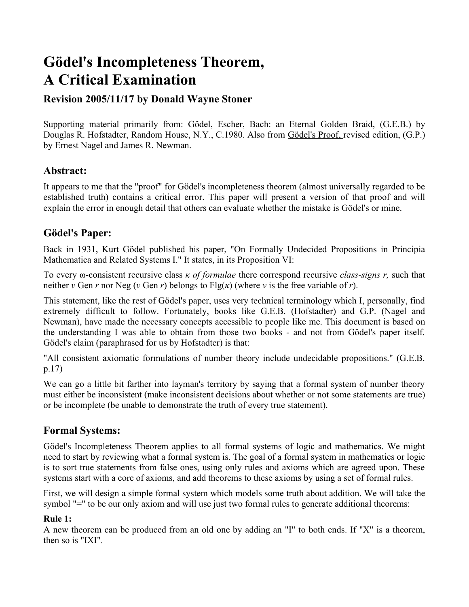# **Gödel's Incompleteness Theorem, A Critical Examination**

# **Revision 2005/11/17 by Donald Wayne Stoner**

Supporting material primarily from: Gödel, Escher, Bach: an Eternal Golden Braid, (G.E.B.) by Douglas R. Hofstadter, Random House, N.Y., C.1980. Also from Gödel's Proof, revised edition, (G.P.) by Ernest Nagel and James R. Newman.

### **Abstract:**

It appears to me that the "proof" for Gödel's incompleteness theorem (almost universally regarded to be established truth) contains a critical error. This paper will present a version of that proof and will explain the error in enough detail that others can evaluate whether the mistake is Gödel's or mine.

# **Gödel's Paper:**

Back in 1931, Kurt Gödel published his paper, "On Formally Undecided Propositions in Principia Mathematica and Related Systems I." It states, in its Proposition VI:

To every ω-consistent recursive class *κ of formulae* there correspond recursive *class-signs r,* such that neither *ν* Gen *r* nor Neg (*ν* Gen *r*) belongs to Flg(*κ*) (where *ν* is the free variable of *r*).

This statement, like the rest of Gödel's paper, uses very technical terminology which I, personally, find extremely difficult to follow. Fortunately, books like G.E.B. (Hofstadter) and G.P. (Nagel and Newman), have made the necessary concepts accessible to people like me. This document is based on the understanding I was able to obtain from those two books - and not from Gödel's paper itself. Gödel's claim (paraphrased for us by Hofstadter) is that:

"All consistent axiomatic formulations of number theory include undecidable propositions." (G.E.B. p.17)

We can go a little bit farther into layman's territory by saying that a formal system of number theory must either be inconsistent (make inconsistent decisions about whether or not some statements are true) or be incomplete (be unable to demonstrate the truth of every true statement).

# **Formal Systems:**

Gödel's Incompleteness Theorem applies to all formal systems of logic and mathematics. We might need to start by reviewing what a formal system is. The goal of a formal system in mathematics or logic is to sort true statements from false ones, using only rules and axioms which are agreed upon. These systems start with a core of axioms, and add theorems to these axioms by using a set of formal rules.

First, we will design a simple formal system which models some truth about addition. We will take the symbol "=" to be our only axiom and will use just two formal rules to generate additional theorems:

#### **Rule 1:**

A new theorem can be produced from an old one by adding an "I" to both ends. If "X" is a theorem, then so is "IXI".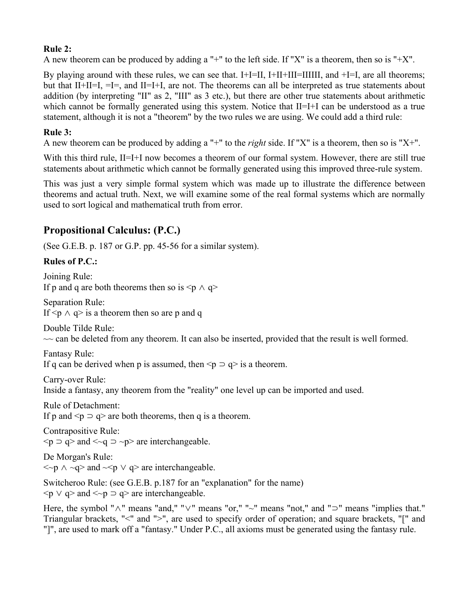### **Rule 2:**

A new theorem can be produced by adding a "+" to the left side. If "X" is a theorem, then so is "+X".

By playing around with these rules, we can see that.  $I+I=II$ ,  $I+II+III=IIIII$ , and  $+I=I$ , are all theorems; but that II+II=I, =I=, and II=I+I, are not. The theorems can all be interpreted as true statements about addition (by interpreting "II" as 2, "III" as 3 etc.), but there are other true statements about arithmetic which cannot be formally generated using this system. Notice that  $II=I+I$  can be understood as a true statement, although it is not a "theorem" by the two rules we are using. We could add a third rule:

### **Rule 3:**

A new theorem can be produced by adding a "+" to the *right* side. If "X" is a theorem, then so is "X+".

With this third rule, II=I+I now becomes a theorem of our formal system. However, there are still true statements about arithmetic which cannot be formally generated using this improved three-rule system.

This was just a very simple formal system which was made up to illustrate the difference between theorems and actual truth. Next, we will examine some of the real formal systems which are normally used to sort logical and mathematical truth from error.

# **Propositional Calculus: (P.C.)**

(See G.E.B. p. 187 or G.P. pp. 45-56 for a similar system).

### **Rules of P.C.:**

Joining Rule: If p and q are both theorems then so is  $\leq p \land q$ Separation Rule: If  $\leq p \land q$  is a theorem then so are p and q Double Tilde Rule:  $\sim$  can be deleted from any theorem. It can also be inserted, provided that the result is well formed. Fantasy Rule: If q can be derived when p is assumed, then  $\leq p \leq q$  is a theorem. Carry-over Rule: Inside a fantasy, any theorem from the "reality" one level up can be imported and used. Rule of Detachment: If p and  $\leq p \leq q$  are both theorems, then q is a theorem. Contrapositive Rule:  $\leq p \supset q$  and  $\leq \leq q \supset \sim p$  are interchangeable. De Morgan's Rule:  $\langle p \rangle \sim q$  and  $\langle p \rangle \sim q$  are interchangeable. Switcheroo Rule: (see G.E.B. p.187 for an "explanation" for the name)  $\langle p \vee q \rangle$  and  $\langle \neg p \supset q \rangle$  are interchangeable.

Here, the symbol "∧" means "and," "∨" means "or," "~" means "not," and "⊃" means "implies that." Triangular brackets, "<" and ">", are used to specify order of operation; and square brackets, "[" and "]", are used to mark off a "fantasy." Under P.C., all axioms must be generated using the fantasy rule.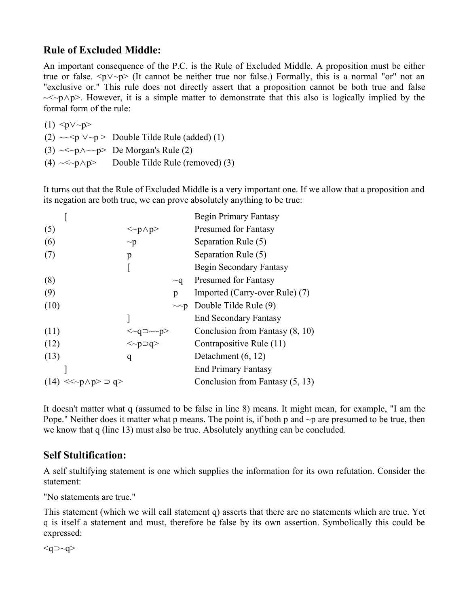# **Rule of Excluded Middle:**

An important consequence of the P.C. is the Rule of Excluded Middle. A proposition must be either true or false. <p∨~p> (It cannot be neither true nor false.) Formally, this is a normal "or" not an "exclusive or." This rule does not directly assert that a proposition cannot be both true and false ~<~p∧p>. However, it is a simple matter to demonstrate that this also is logically implied by the formal form of the rule:

 $(1)$   $\langle$ p $\vee$  $\sim$ p $>$ (2)  $\sim$   $\sim$   $p$   $\vee$   $\sim$   $p$   $>$  Double Tilde Rule (added) (1) (3)  $\sim$   $\sim$   $p \land \sim p$  De Morgan's Rule (2)

(4)  $\ll \sim p \land p$  Double Tilde Rule (removed) (3)

It turns out that the Rule of Excluded Middle is a very important one. If we allow that a proposition and its negation are both true, we can prove absolutely anything to be true:

|                           |                                         |          | <b>Begin Primary Fantasy</b>      |
|---------------------------|-----------------------------------------|----------|-----------------------------------|
| (5)                       | $\langle p\rangle$                      |          | <b>Presumed for Fantasy</b>       |
| (6)                       | $\sim p$                                |          | Separation Rule (5)               |
| (7)                       | p                                       |          | Separation Rule (5)               |
|                           |                                         |          | Begin Secondary Fantasy           |
| (8)                       |                                         | $\sim q$ | <b>Presumed for Fantasy</b>       |
| (9)                       |                                         | p        | Imported (Carry-over Rule) (7)    |
| (10)                      |                                         |          | $\sim$ -p Double Tilde Rule (9)   |
|                           |                                         |          | <b>End Secondary Fantasy</b>      |
| (11)                      | $\langle \sim q \supset \sim p \rangle$ |          | Conclusion from Fantasy $(8, 10)$ |
| (12)                      | $\langle p \supset q \rangle$           |          | Contrapositive Rule (11)          |
| (13)                      | q                                       |          | Detachment $(6, 12)$              |
|                           |                                         |          | <b>End Primary Fantasy</b>        |
| $(14) \ll p \wedge p > p$ |                                         |          | Conclusion from Fantasy $(5, 13)$ |

It doesn't matter what q (assumed to be false in line 8) means. It might mean, for example, "I am the Pope." Neither does it matter what p means. The point is, if both p and  $\sim p$  are presumed to be true, then we know that q (line 13) must also be true. Absolutely anything can be concluded.

# **Self Stultification:**

A self stultifying statement is one which supplies the information for its own refutation. Consider the statement:

"No statements are true."

This statement (which we will call statement q) asserts that there are no statements which are true. Yet q is itself a statement and must, therefore be false by its own assertion. Symbolically this could be expressed:

 $\leq q \leq \leq q$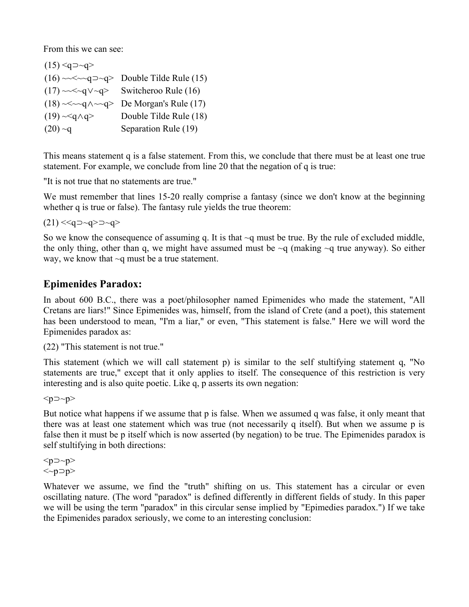From this we can see:

|                                 | $(16) \sim < \sim q \rightarrow q>$ Double Tilde Rule (15) |
|---------------------------------|------------------------------------------------------------|
|                                 | $(17) \sim \ll q \lor \sim q$ Switcheroo Rule (16)         |
| $(18) \sim \sim q \land \sim q$ | De Morgan's Rule (17)                                      |
| $(19) \sim q \land q$           | Double Tilde Rule (18)                                     |
| $(20)$ ~q                       | Separation Rule (19)                                       |

This means statement q is a false statement. From this, we conclude that there must be at least one true statement. For example, we conclude from line 20 that the negation of q is true:

"It is not true that no statements are true."

We must remember that lines 15-20 really comprise a fantasy (since we don't know at the beginning whether q is true or false). The fantasy rule yields the true theorem:

 $(21)$  <<g ⊃ ~q > ⊃ ~q >

So we know the consequence of assuming q. It is that  $\sim q$  must be true. By the rule of excluded middle, the only thing, other than q, we might have assumed must be  $\sim q$  (making  $\sim q$  true anyway). So either way, we know that ~q must be a true statement.

# **Epimenides Paradox:**

In about 600 B.C., there was a poet/philosopher named Epimenides who made the statement, "All Cretans are liars!" Since Epimenides was, himself, from the island of Crete (and a poet), this statement has been understood to mean, "I'm a liar," or even, "This statement is false." Here we will word the Epimenides paradox as:

(22) "This statement is not true."

This statement (which we will call statement p) is similar to the self stultifying statement q, "No statements are true," except that it only applies to itself. The consequence of this restriction is very interesting and is also quite poetic. Like q, p asserts its own negation:

<p⊃~p>

But notice what happens if we assume that p is false. When we assumed q was false, it only meant that there was at least one statement which was true (not necessarily q itself). But when we assume p is false then it must be p itself which is now asserted (by negation) to be true. The Epimenides paradox is self stultifying in both directions:

 $p > p$ <~p⊃p>

Whatever we assume, we find the "truth" shifting on us. This statement has a circular or even oscillating nature. (The word "paradox" is defined differently in different fields of study. In this paper we will be using the term "paradox" in this circular sense implied by "Epimedies paradox.") If we take the Epimenides paradox seriously, we come to an interesting conclusion: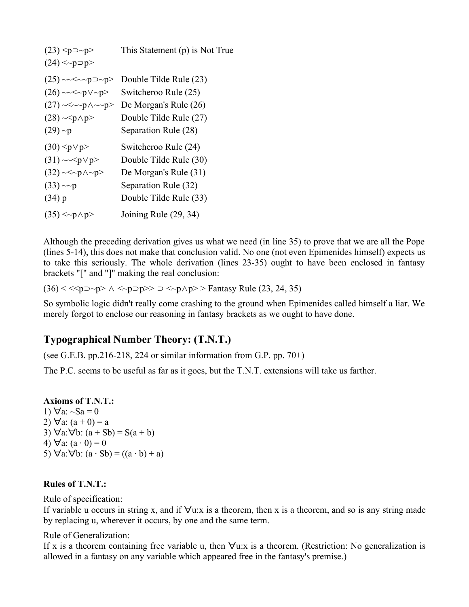| $(23)$ <p <math="">\sup -p &gt;<br/>(24) &lt; p</p> | This Statement (p) is Not True |
|-----------------------------------------------------|--------------------------------|
| $(25) \sim\lt \sim p \supset \neg p$                | Double Tilde Rule (23)         |
| $(26) \sim \sim \sim p \lor p$                      | Switcheroo Rule (25)           |
| $(27) \sim \sim p \land \sim p$                     | De Morgan's Rule (26)          |
| $(28) \sim p \land p >$                             | Double Tilde Rule (27)         |
| $(29)$ ~p                                           | Separation Rule (28)           |
| $(30)$ <p <math="">\lor p&gt;</p>                   | Switcheroo Rule (24)           |
| $(31) \sim p$                                       | Double Tilde Rule (30)         |
| $(32) \sim p \land p$                               | De Morgan's Rule (31)          |
| $(33) \sim p$                                       | Separation Rule (32)           |
| $(34)$ p                                            | Double Tilde Rule (33)         |
| $(35) < p$ $\land p$                                | Joining Rule (29, 34)          |

Although the preceding derivation gives us what we need (in line 35) to prove that we are all the Pope (lines 5-14), this does not make that conclusion valid. No one (not even Epimenides himself) expects us to take this seriously. The whole derivation (lines 23-35) ought to have been enclosed in fantasy brackets "[" and "]" making the real conclusion:

(36) <  $\langle p \rangle$  <  $\langle p \rangle$  ∧  $\langle p \rangle$  →  $p$  >  $\langle p \rangle$  →  $\langle p \rangle$  > Fantasy Rule (23, 24, 35)

So symbolic logic didn't really come crashing to the ground when Epimenides called himself a liar. We merely forgot to enclose our reasoning in fantasy brackets as we ought to have done.

# **Typographical Number Theory: (T.N.T.)**

(see G.E.B. pp.216-218, 224 or similar information from G.P. pp.  $70+$ )

The P.C. seems to be useful as far as it goes, but the T.N.T. extensions will take us farther.

**Axioms of T.N.T.:** 1)  $\forall$ a: ~Sa = 0 2)  $\forall$ a:  $(a + 0) = a$ 3)  $\forall$ a: $\forall$ b: (a + Sb) = S(a + b) 4)  $\forall$ a:  $(a \cdot 0) = 0$ 5)  $\forall$ a: $\forall$ b: (a · Sb) = ((a · b) + a)

#### **Rules of T.N.T.:**

Rule of specification:

If variable u occurs in string x, and if  $\forall u$ :x is a theorem, then x is a theorem, and so is any string made by replacing u, wherever it occurs, by one and the same term.

Rule of Generalization:

If x is a theorem containing free variable u, then  $\forall$ u:x is a theorem. (Restriction: No generalization is allowed in a fantasy on any variable which appeared free in the fantasy's premise.)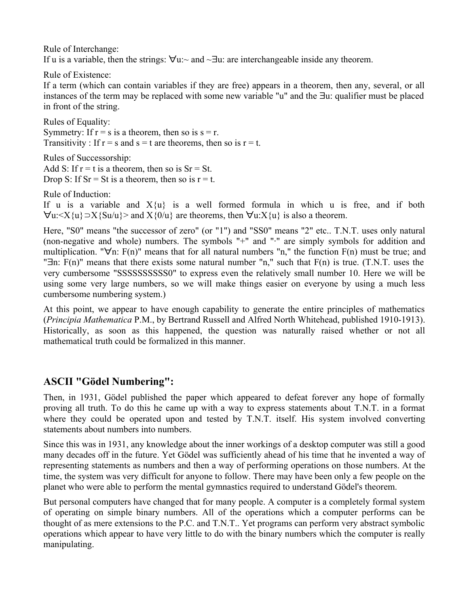Rule of Interchange: If u is a variable, then the strings: ∀u:~ and ~∃u: are interchangeable inside any theorem.

Rule of Existence:

If a term (which can contain variables if they are free) appears in a theorem, then any, several, or all instances of the term may be replaced with some new variable "u" and the ∃u: qualifier must be placed in front of the string.

Rules of Equality: Symmetry: If  $r = s$  is a theorem, then so is  $s = r$ . Transitivity : If  $r = s$  and  $s = t$  are theorems, then so is  $r = t$ .

Rules of Successorship: Add S: If  $r = t$  is a theorem, then so is  $Sr = St$ . Drop S: If  $Sr = St$  is a theorem, then so is  $r = t$ .

Rule of Induction:

If u is a variable and  $X\{u\}$  is a well formed formula in which u is free, and if both  $\forall u: \langle X\{u\} \supset X\{Su/u\} \rangle$  and  $X\{0/u\}$  are theorems, then  $\forall u: X\{u\}$  is also a theorem.

Here, "S0" means "the successor of zero" (or "1") and "SS0" means "2" etc.. T.N.T. uses only natural (non-negative and whole) numbers. The symbols "+" and "·" are simply symbols for addition and multiplication. " $\forall n$ : F(n)" means that for all natural numbers "n," the function F(n) must be true; and "∃n: F(n)" means that there exists some natural number "n," such that F(n) is true. (T.N.T. uses the very cumbersome "SSSSSSSSSS0" to express even the relatively small number 10. Here we will be using some very large numbers, so we will make things easier on everyone by using a much less cumbersome numbering system.)

At this point, we appear to have enough capability to generate the entire principles of mathematics (*Principia Mathematica* P.M., by Bertrand Russell and Alfred North Whitehead, published 1910-1913). Historically, as soon as this happened, the question was naturally raised whether or not all mathematical truth could be formalized in this manner.

# **ASCII "Gödel Numbering":**

Then, in 1931, Gödel published the paper which appeared to defeat forever any hope of formally proving all truth. To do this he came up with a way to express statements about T.N.T. in a format where they could be operated upon and tested by T.N.T. itself. His system involved converting statements about numbers into numbers.

Since this was in 1931, any knowledge about the inner workings of a desktop computer was still a good many decades off in the future. Yet Gödel was sufficiently ahead of his time that he invented a way of representing statements as numbers and then a way of performing operations on those numbers. At the time, the system was very difficult for anyone to follow. There may have been only a few people on the planet who were able to perform the mental gymnastics required to understand Gödel's theorem.

But personal computers have changed that for many people. A computer is a completely formal system of operating on simple binary numbers. All of the operations which a computer performs can be thought of as mere extensions to the P.C. and T.N.T.. Yet programs can perform very abstract symbolic operations which appear to have very little to do with the binary numbers which the computer is really manipulating.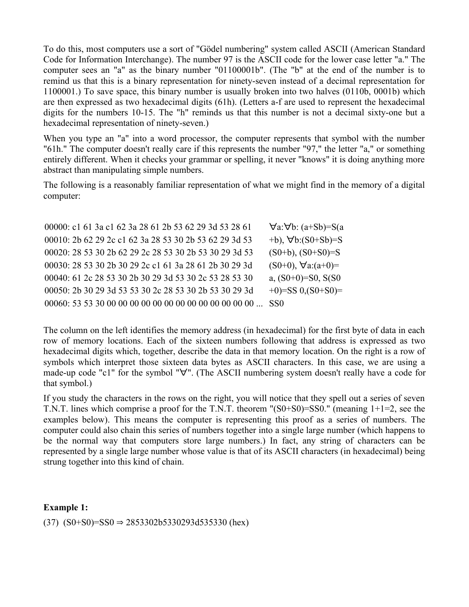To do this, most computers use a sort of "Gödel numbering" system called ASCII (American Standard Code for Information Interchange). The number 97 is the ASCII code for the lower case letter "a." The computer sees an "a" as the binary number "01100001b". (The "b" at the end of the number is to remind us that this is a binary representation for ninety-seven instead of a decimal representation for 1100001.) To save space, this binary number is usually broken into two halves (0110b, 0001b) which are then expressed as two hexadecimal digits (61h). (Letters a-f are used to represent the hexadecimal digits for the numbers 10-15. The "h" reminds us that this number is not a decimal sixty-one but a hexadecimal representation of ninety-seven.)

When you type an "a" into a word processor, the computer represents that symbol with the number "61h." The computer doesn't really care if this represents the number "97," the letter "a," or something entirely different. When it checks your grammar or spelling, it never "knows" it is doing anything more abstract than manipulating simple numbers.

The following is a reasonably familiar representation of what we might find in the memory of a digital computer:

00000: c1 61 3a c1 62 3a 28 61 2b 53 62 29 3d 53 28 61 ∀a:∀b: (a+Sb)=S(a 00010: 2b 62 29 2c c1 62 3a 28 53 30 2b 53 62 29 3d 53 +b), ∀b:(S0+Sb)=S 00020: 28 53 30 2b 62 29 2c 28 53 30 2b 53 30 29 3d 53 (S0+b), (S0+S0)=S 00030: 28 53 30 2b 30 29 2c c1 61 3a 28 61 2b 30 29 3d (S0+0),  $\forall$ a:(a+0)= 00040: 61 2c 28 53 30 2b 30 29 3d 53 30 2c 53 28 53 30 a, (S0+0)=S0, S(S0 00050: 2b 30 29 3d 53 53 30 2c 28 53 30 2b 53 30 29 3d +0)=SS 0,(S0+S0)= 00060: 53 53 30 00 00 00 00 00 00 00 00 00 00 00 00 00 ... SS0

The column on the left identifies the memory address (in hexadecimal) for the first byte of data in each row of memory locations. Each of the sixteen numbers following that address is expressed as two hexadecimal digits which, together, describe the data in that memory location. On the right is a row of symbols which interpret those sixteen data bytes as ASCII characters. In this case, we are using a made-up code "c1" for the symbol "∀". (The ASCII numbering system doesn't really have a code for that symbol.)

If you study the characters in the rows on the right, you will notice that they spell out a series of seven T.N.T. lines which comprise a proof for the T.N.T. theorem "(S0+S0)=SS0." (meaning 1+1=2, see the examples below). This means the computer is representing this proof as a series of numbers. The computer could also chain this series of numbers together into a single large number (which happens to be the normal way that computers store large numbers.) In fact, any string of characters can be represented by a single large number whose value is that of its ASCII characters (in hexadecimal) being strung together into this kind of chain.

#### **Example 1:**

(37)  $(S0+S0)=SS0 \Rightarrow 2853302b5330293d535330$  (hex)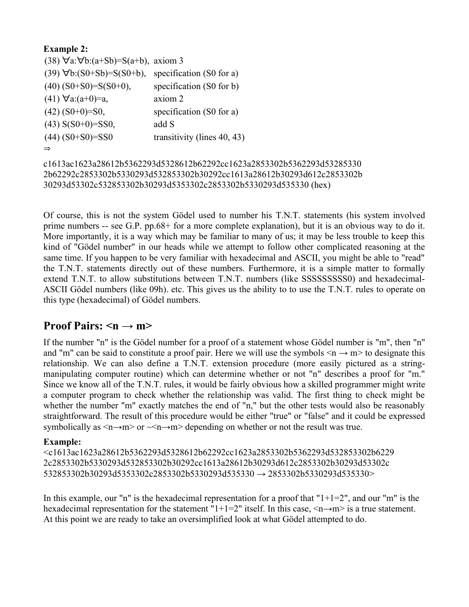### **Example 2:**

```
(38) ∀a:∀b:(a+Sb)=S(a+b), axiom 3 
(39) \forall b:(S0+Sb)=S(S0+b), specification (S0 for a)
(40) (S0+S0)=S(S0+0), specification (S0 for b)
(41) \foralla:(a+0)=a, axiom 2
(42) (S0+0)=S0, specification (S0 for a)
(43) S(S0+0)=SS0, add S
(44) (S0+S0)=SS0 transitivity (lines 40, 43)
⇒
```

```
c1613ac1623a28612b5362293d5328612b62292cc1623a2853302b5362293d53285330
2b62292c2853302b5330293d532853302b30292cc1613a28612b30293d612c2853302b
30293d53302c532853302b30293d5353302c2853302b5330293d535330 (hex)
```
Of course, this is not the system Gödel used to number his T.N.T. statements (his system involved prime numbers -- see G.P. pp.68+ for a more complete explanation), but it is an obvious way to do it. More importantly, it is a way which may be familiar to many of us; it may be less trouble to keep this kind of "Gödel number" in our heads while we attempt to follow other complicated reasoning at the same time. If you happen to be very familiar with hexadecimal and ASCII, you might be able to "read" the T.N.T. statements directly out of these numbers. Furthermore, it is a simple matter to formally extend T.N.T. to allow substitutions between T.N.T. numbers (like SSSSSSSSSS) and hexadecimal-ASCII Gödel numbers (like 09h). etc. This gives us the ability to to use the T.N.T. rules to operate on this type (hexadecimal) of Gödel numbers.

# **Proof Pairs:**  $\leq n \rightarrow m$ **>**

If the number "n" is the Gödel number for a proof of a statement whose Gödel number is "m", then "n" and "m" can be said to constitute a proof pair. Here we will use the symbols  $\leq n \rightarrow m$  to designate this relationship. We can also define a T.N.T. extension procedure (more easily pictured as a stringmanipulating computer routine) which can determine whether or not "n" describes a proof for "m." Since we know all of the T.N.T. rules, it would be fairly obvious how a skilled programmer might write a computer program to check whether the relationship was valid. The first thing to check might be whether the number "m" exactly matches the end of "n," but the other tests would also be reasonably straightforward. The result of this procedure would be either "true" or "false" and it could be expressed symbolically as  $\leq n \rightarrow m$  or  $\leq n \rightarrow m$  depending on whether or not the result was true.

#### **Example:**

<c1613ac1623a28612b5362293d5328612b62292cc1623a2853302b5362293d532853302b6229 2c2853302b5330293d532853302b30292cc1613a28612b30293d612c2853302b30293d53302c  $532853302b30293d5353302c2853302b5330293d535330 \rightarrow 2853302b5330293d535330 \rightarrow$ 

In this example, our "n" is the hexadecimal representation for a proof that " $1+1=2$ ", and our "m" is the hexadecimal representation for the statement "1+1=2" itself. In this case,  $\langle n \rightarrow m \rangle$  is a true statement. At this point we are ready to take an oversimplified look at what Gödel attempted to do.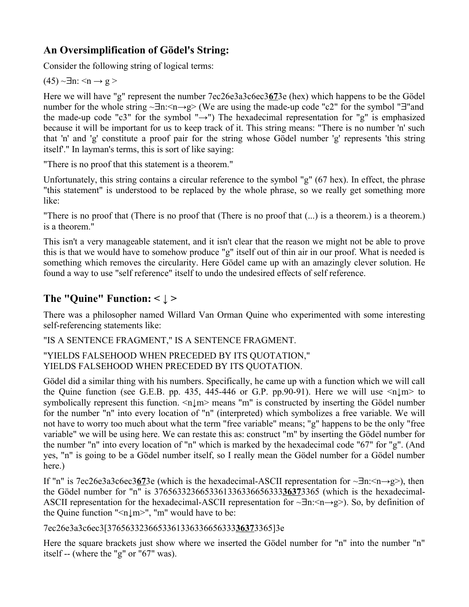# **An Oversimplification of Gödel's String:**

Consider the following string of logical terms:

 $(45) \sim \exists n: \leq n \rightarrow g >$ 

Here we will have "g" represent the number 7ec26e3a3c6ec3**67**3e (hex) which happens to be the Gödel number for the whole string ~∃n:<n→g> (We are using the made-up code "c2" for the symbol "∃"and the made-up code "c3" for the symbol "→") The hexadecimal representation for "g" is emphasized because it will be important for us to keep track of it. This string means: "There is no number 'n' such that 'n' and 'g' constitute a proof pair for the string whose Gödel number 'g' represents 'this string itself'." In layman's terms, this is sort of like saying:

"There is no proof that this statement is a theorem."

Unfortunately, this string contains a circular reference to the symbol "g" (67 hex). In effect, the phrase "this statement" is understood to be replaced by the whole phrase, so we really get something more like:

"There is no proof that (There is no proof that (There is no proof that (...) is a theorem.) is a theorem.) is a theorem."

This isn't a very manageable statement, and it isn't clear that the reason we might not be able to prove this is that we would have to somehow produce "g" itself out of thin air in our proof. What is needed is something which removes the circularity. Here Gödel came up with an amazingly clever solution. He found a way to use "self reference" itself to undo the undesired effects of self reference.

# **The "Quine" Function: < ↓ >**

There was a philosopher named Willard Van Orman Quine who experimented with some interesting self-referencing statements like:

"IS A SENTENCE FRAGMENT," IS A SENTENCE FRAGMENT.

#### "YIELDS FALSEHOOD WHEN PRECEDED BY ITS QUOTATION," YIELDS FALSEHOOD WHEN PRECEDED BY ITS QUOTATION.

Gödel did a similar thing with his numbers. Specifically, he came up with a function which we will call the Quine function (see G.E.B. pp. 435, 445-446 or G.P. pp.90-91). Here we will use  $\langle n \downarrow m \rangle$  to symbolically represent this function.  $\langle n \vert m \rangle$  means "m" is constructed by inserting the Gödel number for the number "n" into every location of "n" (interpreted) which symbolizes a free variable. We will not have to worry too much about what the term "free variable" means; "g" happens to be the only "free variable" we will be using here. We can restate this as: construct "m" by inserting the Gödel number for the number "n" into every location of "n" which is marked by the hexadecimal code "67" for "g". (And yes, "n" is going to be a Gödel number itself, so I really mean the Gödel number for a Gödel number here.)

If "n" is 7ec26e3a3c6ec3**67**3e (which is the hexadecimal-ASCII representation for ~∃n:<n→g>), then the Gödel number for "n" is 3765633236653361336336656333**3637**3365 (which is the hexadecimal-ASCII representation for the hexadecimal-ASCII representation for  $\sim\exists n:\leq n\rightarrow g\geq$ ). So, by definition of the Quine function " $\langle n \downarrow m \rangle$ ", "m" would have to be:

7ec26e3a3c6ec3[3765633236653361336336656333**3637**3365]3e

Here the square brackets just show where we inserted the Gödel number for "n" into the number "n" itself -- (where the "g" or "67" was).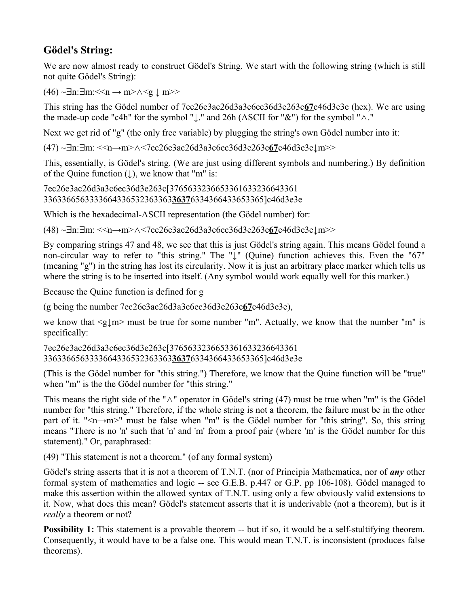# **Gödel's String:**

We are now almost ready to construct Gödel's String. We start with the following string (which is still not quite Gödel's String):

 $(46)$  ~∃n:∃m:  $\leq$ n → m> $\land$   $\leq$   $\downarrow$  m>>

This string has the Gödel number of 7ec26e3ac26d3a3c6ec36d3e263c**67**c46d3e3e (hex). We are using the made-up code "c4h" for the symbol "↓." and 26h (ASCII for "&") for the symbol "∧."

Next we get rid of "g" (the only free variable) by plugging the string's own Gödel number into it:

(47) ~∃n:∃m: <<n→m>∧<7ec26e3ac26d3a3c6ec36d3e263c**67**c46d3e3e↓m>>

This, essentially, is Gödel's string. (We are just using different symbols and numbering.) By definition of the Quine function  $( )$ , we know that "m" is:

7ec26e3ac26d3a3c6ec36d3e263c[3765633236653361633236643361 3363366563333664336532363363**3637**6334366433653365]c46d3e3e

Which is the hexadecimal-ASCII representation (the Gödel number) for:

(48) ~∃n:∃m: <<n→m>∧<7ec26e3ac26d3a3c6ec36d3e263c**67**c46d3e3e↓m>>

By comparing strings 47 and 48, we see that this is just Gödel's string again. This means Gödel found a non-circular way to refer to "this string." The "↓" (Quine) function achieves this. Even the "67" (meaning "g") in the string has lost its circularity. Now it is just an arbitrary place marker which tells us where the string is to be inserted into itself. (Any symbol would work equally well for this marker.)

Because the Quine function is defined for g

(g being the number 7ec26e3ac26d3a3c6ec36d3e263c**67**c46d3e3e),

we know that  $\leq g \downarrow m$  must be true for some number "m". Actually, we know that the number "m" is specifically:

7ec26e3ac26d3a3c6ec36d3e263c[3765633236653361633236643361 3363366563333664336532363363**3637**6334366433653365]c46d3e3e

(This is the Gödel number for "this string.") Therefore, we know that the Quine function will be "true" when "m" is the the Gödel number for "this string."

This means the right side of the "∧" operator in Gödel's string (47) must be true when "m" is the Gödel number for "this string." Therefore, if the whole string is not a theorem, the failure must be in the other part of it. "<n→m>" must be false when "m" is the Gödel number for "this string". So, this string means "There is no 'n' such that 'n' and 'm' from a proof pair (where 'm' is the Gödel number for this statement)." Or, paraphrased:

(49) "This statement is not a theorem." (of any formal system)

Gödel's string asserts that it is not a theorem of T.N.T. (nor of Principia Mathematica, nor of *any* other formal system of mathematics and logic -- see G.E.B. p.447 or G.P. pp 106-108). Gödel managed to make this assertion within the allowed syntax of T.N.T. using only a few obviously valid extensions to it. Now, what does this mean? Gödel's statement asserts that it is underivable (not a theorem), but is it *really* a theorem or not?

**Possibility 1:** This statement is a provable theorem -- but if so, it would be a self-stultifying theorem. Consequently, it would have to be a false one. This would mean T.N.T. is inconsistent (produces false theorems).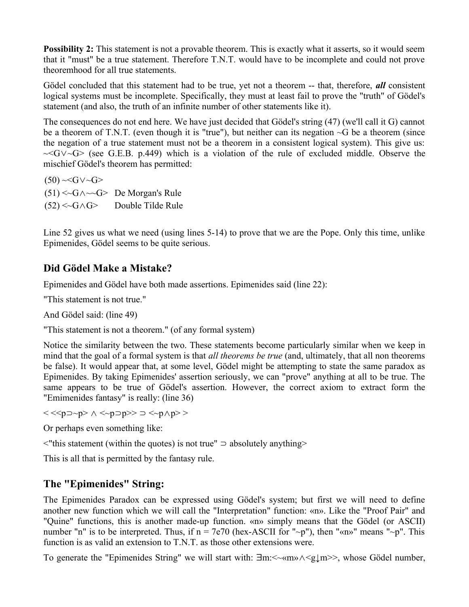**Possibility 2:** This statement is not a provable theorem. This is exactly what it asserts, so it would seem that it "must" be a true statement. Therefore T.N.T. would have to be incomplete and could not prove theoremhood for all true statements.

Gödel concluded that this statement had to be true, yet not a theorem -- that, therefore, *all* consistent logical systems must be incomplete. Specifically, they must at least fail to prove the "truth" of Gödel's statement (and also, the truth of an infinite number of other statements like it).

The consequences do not end here. We have just decided that Gödel's string (47) (we'll call it G) cannot be a theorem of T.N.T. (even though it is "true"), but neither can its negation ~G be a theorem (since the negation of a true statement must not be a theorem in a consistent logical system). This give us: ~<G∨~G> (see G.E.B. p.449) which is a violation of the rule of excluded middle. Observe the mischief Gödel's theorem has permitted:

 $(50) \sim G \vee G$ (51) <~G∧~~G> De Morgan's Rule (52) <~G∧G> Double Tilde Rule

Line 52 gives us what we need (using lines 5-14) to prove that we are the Pope. Only this time, unlike Epimenides, Gödel seems to be quite serious.

# **Did Gödel Make a Mistake?**

Epimenides and Gödel have both made assertions. Epimenides said (line 22):

"This statement is not true."

And Gödel said: (line 49)

"This statement is not a theorem." (of any formal system)

Notice the similarity between the two. These statements become particularly similar when we keep in mind that the goal of a formal system is that *all theorems be true* (and, ultimately, that all non theorems be false). It would appear that, at some level, Gödel might be attempting to state the same paradox as Epimenides. By taking Epimenides' assertion seriously, we can "prove" anything at all to be true. The same appears to be true of Gödel's assertion. However, the correct axiom to extract form the "Emimenides fantasy" is really: (line 36)

 $< $\supset$   $\supset$   $\supset$   $\supset$   $\supset$   $\supset$   $\supset$   $\sup$$ 

Or perhaps even something like:

<"this statement (within the quotes) is not true" ⊃ absolutely anything>

This is all that is permitted by the fantasy rule.

# **The "Epimenides" String:**

The Epimenides Paradox can be expressed using Gödel's system; but first we will need to define another new function which we will call the "Interpretation" function: «n». Like the "Proof Pair" and "Quine" functions, this is another made-up function. «n» simply means that the Gödel (or ASCII) number "n" is to be interpreted. Thus, if  $n = 7e70$  (hex-ASCII for "~p"), then "«n»" means "~p". This function is as valid an extension to T.N.T. as those other extensions were.

To generate the "Epimenides String" we will start with: ∃m: < ~ «m»  $\land$  <g⊥m >>, whose Gödel number,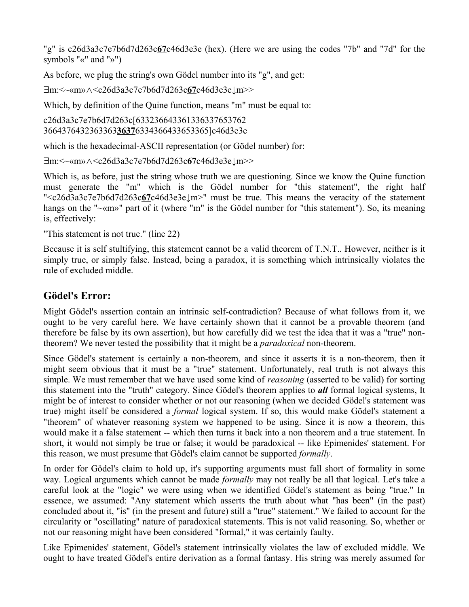"g" is c26d3a3c7e7b6d7d263c**67**c46d3e3e (hex). (Here we are using the codes "7b" and "7d" for the symbols "«" and "»")

As before, we plug the string's own Gödel number into its "g", and get:

∃m:<~«m»∧<c26d3a3c7e7b6d7d263c**67**c46d3e3e↓m>>

Which, by definition of the Quine function, means "m" must be equal to:

c26d3a3c7e7b6d7d263c[633236643361336337653762 3664376432363363**3637**6334366433653365]c46d3e3e

which is the hexadecimal-ASCII representation (or Gödel number) for:

```
∃m:<~«m»∧<c26d3a3c7e7b6d7d263c67c46d3e3e↓m>>
```
Which is, as before, just the string whose truth we are questioning. Since we know the Quine function must generate the "m" which is the Gödel number for "this statement", the right half "<c26d3a3c7e7b6d7d263c**67**c46d3e3e↓m>" must be true. This means the veracity of the statement hangs on the "~«m»" part of it (where "m" is the Gödel number for "this statement"). So, its meaning is, effectively:

"This statement is not true." (line 22)

Because it is self stultifying, this statement cannot be a valid theorem of T.N.T.. However, neither is it simply true, or simply false. Instead, being a paradox, it is something which intrinsically violates the rule of excluded middle.

### **Gödel's Error:**

Might Gödel's assertion contain an intrinsic self-contradiction? Because of what follows from it, we ought to be very careful here. We have certainly shown that it cannot be a provable theorem (and therefore be false by its own assertion), but how carefully did we test the idea that it was a "true" nontheorem? We never tested the possibility that it might be a *paradoxical* non-theorem.

Since Gödel's statement is certainly a non-theorem, and since it asserts it is a non-theorem, then it might seem obvious that it must be a "true" statement. Unfortunately, real truth is not always this simple. We must remember that we have used some kind of *reasoning* (asserted to be valid) for sorting this statement into the "truth" category. Since Gödel's theorem applies to *all* formal logical systems, It might be of interest to consider whether or not our reasoning (when we decided Gödel's statement was true) might itself be considered a *formal* logical system. If so, this would make Gödel's statement a "theorem" of whatever reasoning system we happened to be using. Since it is now a theorem, this would make it a false statement -- which then turns it back into a non theorem and a true statement. In short, it would not simply be true or false; it would be paradoxical -- like Epimenides' statement. For this reason, we must presume that Gödel's claim cannot be supported *formally*.

In order for Gödel's claim to hold up, it's supporting arguments must fall short of formality in some way. Logical arguments which cannot be made *formally* may not really be all that logical. Let's take a careful look at the "logic" we were using when we identified Gödel's statement as being "true." In essence, we assumed: "Any statement which asserts the truth about what "has been" (in the past) concluded about it, "is" (in the present and future) still a "true" statement." We failed to account for the circularity or "oscillating" nature of paradoxical statements. This is not valid reasoning. So, whether or not our reasoning might have been considered "formal," it was certainly faulty.

Like Epimenides' statement, Gödel's statement intrinsically violates the law of excluded middle. We ought to have treated Gödel's entire derivation as a formal fantasy. His string was merely assumed for